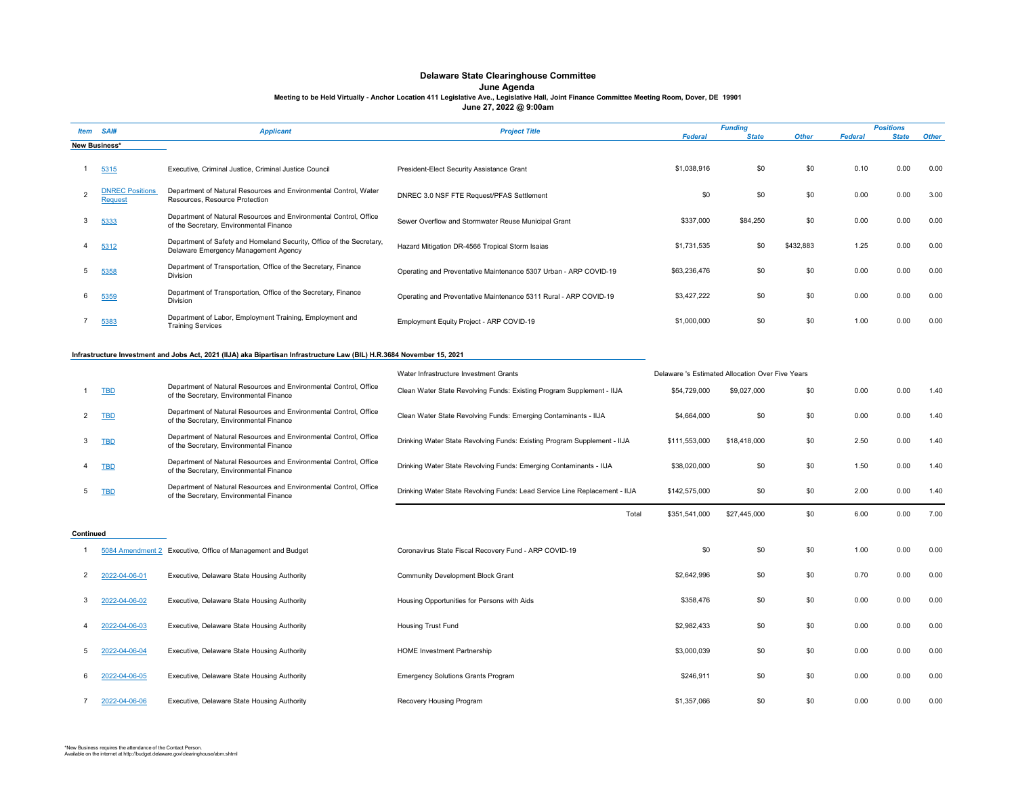## **Delaware State Clearinghouse Committee**

## **June Agenda**

# **Meeting to be Held Virtually - Anchor Location 411 Legislative Ave., Legislative Hall, Joint Finance Committee Meeting Room, Dover, DE 19901 June 27, 2022 @ 9:00am**

| <b>Item</b> | SAI#                                     |                                                                                                              | <b>Project Title</b>                                             |                | <b>Fundina</b> |              |                | <b>Positions</b> |              |
|-------------|------------------------------------------|--------------------------------------------------------------------------------------------------------------|------------------------------------------------------------------|----------------|----------------|--------------|----------------|------------------|--------------|
|             |                                          | <b>Applicant</b>                                                                                             |                                                                  | <b>Federal</b> | <b>State</b>   | <b>Other</b> | <b>Federal</b> | <b>State</b>     | <b>Other</b> |
|             | New Business*                            |                                                                                                              |                                                                  |                |                |              |                |                  |              |
|             |                                          |                                                                                                              |                                                                  |                |                |              |                |                  |              |
|             | 5315                                     | Executive, Criminal Justice, Criminal Justice Council                                                        | President-Elect Security Assistance Grant                        | \$1,038,916    | \$0            | \$0          | 0.10           | 0.00             | 0.00         |
| $\Omega$    | <b>DNREC Positions</b><br><b>Request</b> | Department of Natural Resources and Environmental Control, Water<br>Resources, Resource Protection           | DNREC 3.0 NSF FTE Request/PFAS Settlement                        | \$0            | \$0            | \$0          | 0.00           | 0.00             | 3.00         |
|             | 5333                                     | Department of Natural Resources and Environmental Control, Office<br>of the Secretary, Environmental Finance | Sewer Overflow and Stormwater Reuse Municipal Grant              | \$337,000      | \$84,250       | \$0          | 0.00           | 0.00             | 0.00         |
|             | 5312                                     | Department of Safety and Homeland Security, Office of the Secretary,<br>Delaware Emergency Management Agency | Hazard Mitigation DR-4566 Tropical Storm Isaias                  | \$1,731,535    | \$0            | \$432.883    | 1.25           | 0.00             | 0.00         |
|             | 5358                                     | Department of Transportation, Office of the Secretary, Finance<br><b>Division</b>                            | Operating and Preventative Maintenance 5307 Urban - ARP COVID-19 | \$63,236,476   | \$0            | \$0          | 0.00           | 0.00             | 0.00         |
| b           | 5359                                     | Department of Transportation, Office of the Secretary, Finance<br><b>Division</b>                            | Operating and Preventative Maintenance 5311 Rural - ARP COVID-19 | \$3,427,222    | \$0            | \$0          | 0.00           | 0.00             | 0.00         |
|             | 5383                                     | Department of Labor, Employment Training, Employment and<br><b>Training Services</b>                         | Employment Equity Project - ARP COVID-19                         | \$1,000,000    | \$0            | \$0          | 1.00           | 0.00             | 0.00         |

## **Infrastructure Investment and Jobs Act, 2021 (IIJA) aka Bipartisan Infrastructure Law (BIL) H.R.3684 November 15, 2021**

|   |                  |                                                                                                              | Water Infrastructure Investment Grants                                     | Delaware 's Estimated Allocation Over Five Years |              |     |      |      |      |
|---|------------------|--------------------------------------------------------------------------------------------------------------|----------------------------------------------------------------------------|--------------------------------------------------|--------------|-----|------|------|------|
|   | <b>TBD</b>       | Department of Natural Resources and Environmental Control, Office<br>of the Secretary, Environmental Finance | Clean Water State Revolving Funds: Existing Program Supplement - IIJA      | \$54,729,000                                     | \$9,027,000  | \$0 | 0.00 | 0.00 | 1.40 |
| 2 | <b>TBD</b>       | Department of Natural Resources and Environmental Control, Office<br>of the Secretary, Environmental Finance | Clean Water State Revolving Funds: Emerging Contaminants - IIJA            | \$4,664,000                                      | \$0          | \$0 | 0.00 | 0.00 | 1.40 |
| 3 | <b>TBD</b>       | Department of Natural Resources and Environmental Control, Office<br>of the Secretary, Environmental Finance | Drinking Water State Revolving Funds: Existing Program Supplement - IIJA   | \$111,553,000                                    | \$18,418,000 | \$0 | 2.50 | 0.00 | 1.40 |
|   | <b>TBD</b>       | Department of Natural Resources and Environmental Control, Office<br>of the Secretary, Environmental Finance | Drinking Water State Revolving Funds: Emerging Contaminants - IIJA         | \$38,020,000                                     | \$0          | \$0 | 1.50 | 0.00 | 1.40 |
| 5 | <b>TBD</b>       | Department of Natural Resources and Environmental Control, Office<br>of the Secretary, Environmental Finance | Drinking Water State Revolving Funds: Lead Service Line Replacement - IIJA | \$142,575,000                                    | \$0          | \$0 | 2.00 | 0.00 | 1.40 |
|   |                  |                                                                                                              | Total                                                                      | \$351,541,000                                    | \$27,445,000 | \$0 | 6.00 | 0.00 | 7.00 |
|   | <b>Continued</b> |                                                                                                              |                                                                            |                                                  |              |     |      |      |      |
|   |                  | 5084 Amendment 2 Executive, Office of Management and Budget                                                  | Coronavirus State Fiscal Recovery Fund - ARP COVID-19                      | \$0                                              | \$0          | \$0 | 1.00 | 0.00 | 0.00 |
| 2 | 2022-04-06-01    | Executive, Delaware State Housing Authority                                                                  | Community Development Block Grant                                          | \$2,642,996                                      | \$0          | \$0 | 0.70 | 0.00 | 0.00 |
| 3 | 2022-04-06-02    | Executive, Delaware State Housing Authority                                                                  | Housing Opportunities for Persons with Aids                                | \$358,476                                        | \$0          | \$0 | 0.00 | 0.00 | 0.00 |
| 4 | 2022-04-06-03    | Executive, Delaware State Housing Authority                                                                  | <b>Housing Trust Fund</b>                                                  | \$2,982,433                                      | \$0          | \$0 | 0.00 | 0.00 | 0.00 |
| 5 | 2022-04-06-04    | Executive, Delaware State Housing Authority                                                                  | <b>HOME Investment Partnership</b>                                         | \$3,000,039                                      | \$0          | \$0 | 0.00 | 0.00 | 0.00 |
| 6 | 2022-04-06-05    | Executive, Delaware State Housing Authority                                                                  | <b>Emergency Solutions Grants Program</b>                                  | \$246,911                                        | \$0          | \$0 | 0.00 | 0.00 | 0.00 |
|   | 2022-04-06-06    | Executive, Delaware State Housing Authority                                                                  | Recovery Housing Program                                                   | \$1,357,066                                      | \$0          | \$0 | 0.00 | 0.00 | 0.00 |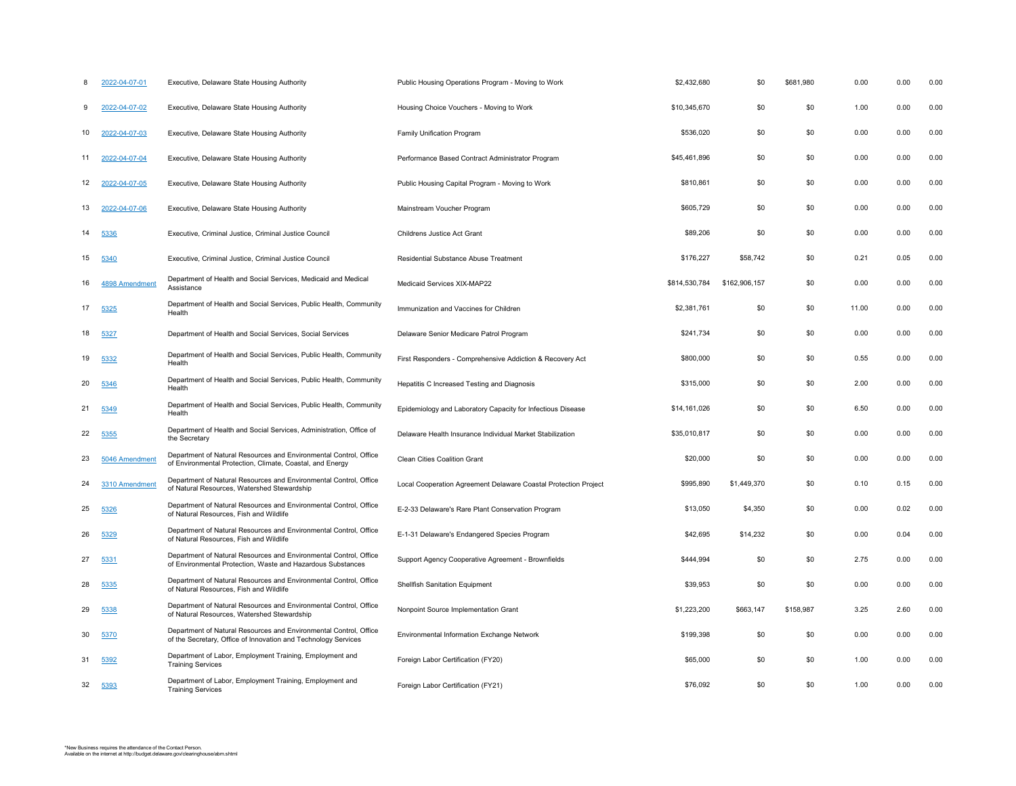|    | 2022-04-07-01  | Executive, Delaware State Housing Authority                                                                                         | Public Housing Operations Program - Moving to Work              | \$2,432,680   | \$0           | \$681,980 | 0.00  | 0.00 | 0.00 |
|----|----------------|-------------------------------------------------------------------------------------------------------------------------------------|-----------------------------------------------------------------|---------------|---------------|-----------|-------|------|------|
|    | 2022-04-07-02  | Executive, Delaware State Housing Authority                                                                                         | Housing Choice Vouchers - Moving to Work                        | \$10,345,670  | \$0           | \$0       | 1.00  | 0.00 | 0.00 |
| 10 | 2022-04-07-03  | Executive, Delaware State Housing Authority                                                                                         | Family Unification Program                                      | \$536,020     | \$0           | \$0       | 0.00  | 0.00 | 0.00 |
| 11 | 2022-04-07-04  | Executive, Delaware State Housing Authority                                                                                         | Performance Based Contract Administrator Program                | \$45,461,896  | \$0           | \$0       | 0.00  | 0.00 | 0.00 |
| 12 | 2022-04-07-05  | Executive, Delaware State Housing Authority                                                                                         | Public Housing Capital Program - Moving to Work                 | \$810,861     | \$0           | \$0       | 0.00  | 0.00 | 0.00 |
| 13 | 2022-04-07-06  | Executive, Delaware State Housing Authority                                                                                         | Mainstream Voucher Program                                      | \$605,729     | \$0           | \$0       | 0.00  | 0.00 | 0.00 |
| 14 | 5336           | Executive, Criminal Justice, Criminal Justice Council                                                                               | Childrens Justice Act Grant                                     | \$89,206      | \$0           | \$0       | 0.00  | 0.00 | 0.00 |
| 15 | 5340           | Executive, Criminal Justice, Criminal Justice Council                                                                               | Residential Substance Abuse Treatment                           | \$176,227     | \$58,742      | \$0       | 0.21  | 0.05 | 0.00 |
| 16 | 4898 Amendment | Department of Health and Social Services, Medicaid and Medical<br>Assistance                                                        | Medicaid Services XIX-MAP22                                     | \$814,530,784 | \$162,906,157 | \$0       | 0.00  | 0.00 | 0.00 |
| 17 | 5325           | Department of Health and Social Services, Public Health, Community<br>Health                                                        | Immunization and Vaccines for Children                          | \$2,381,761   | \$0           | \$0       | 11.00 | 0.00 | 0.00 |
| 18 | 5327           | Department of Health and Social Services, Social Services                                                                           | Delaware Senior Medicare Patrol Program                         | \$241,734     | \$0           | \$0       | 0.00  | 0.00 | 0.00 |
| 19 | 5332           | Department of Health and Social Services, Public Health, Community<br>Health                                                        | First Responders - Comprehensive Addiction & Recovery Act       | \$800,000     | \$0           | \$0       | 0.55  | 0.00 | 0.00 |
| 20 | 5346           | Department of Health and Social Services, Public Health, Community<br>Health                                                        | Hepatitis C Increased Testing and Diagnosis                     | \$315,000     | \$0           | \$0       | 2.00  | 0.00 | 0.00 |
| 21 | 5349           | Department of Health and Social Services, Public Health, Community<br>Health                                                        | Epidemiology and Laboratory Capacity for Infectious Disease     | \$14,161,026  | \$0           | \$0       | 6.50  | 0.00 | 0.00 |
| 22 | 5355           | Department of Health and Social Services, Administration, Office of<br>the Secretary                                                | Delaware Health Insurance Individual Market Stabilization       | \$35,010,817  | \$0           | \$0       | 0.00  | 0.00 | 0.00 |
| 23 | 5046 Amendment | Department of Natural Resources and Environmental Control, Office<br>of Environmental Protection, Climate, Coastal, and Energy      | Clean Cities Coalition Grant                                    | \$20,000      | \$0           | \$0       | 0.00  | 0.00 | 0.00 |
| 24 | 3310 Amendment | Department of Natural Resources and Environmental Control, Office<br>of Natural Resources, Watershed Stewardship                    | Local Cooperation Agreement Delaware Coastal Protection Project | \$995,890     | \$1,449,370   | \$0       | 0.10  | 0.15 | 0.00 |
| 25 | 5326           | Department of Natural Resources and Environmental Control, Office<br>of Natural Resources, Fish and Wildlife                        | E-2-33 Delaware's Rare Plant Conservation Program               | \$13,050      | \$4,350       | \$0       | 0.00  | 0.02 | 0.00 |
| 26 | 5329           | Department of Natural Resources and Environmental Control, Office<br>of Natural Resources, Fish and Wildlife                        | E-1-31 Delaware's Endangered Species Program                    | \$42,695      | \$14,232      | \$0       | 0.00  | 0.04 | 0.00 |
| 27 | 5331           | Department of Natural Resources and Environmental Control, Office<br>of Environmental Protection, Waste and Hazardous Substances    | Support Agency Cooperative Agreement - Brownfields              | \$444,994     | \$0           | \$0       | 2.75  | 0.00 | 0.00 |
| 28 | 5335           | Department of Natural Resources and Environmental Control, Office<br>of Natural Resources, Fish and Wildlife                        | Shellfish Sanitation Equipment                                  | \$39,953      | \$0           | \$0       | 0.00  | 0.00 | 0.00 |
| 29 | 5338           | Department of Natural Resources and Environmental Control, Office<br>of Natural Resources, Watershed Stewardship                    | Nonpoint Source Implementation Grant                            | \$1,223,200   | \$663,147     | \$158,987 | 3.25  | 2.60 | 0.00 |
| 30 | 5370           | Department of Natural Resources and Environmental Control, Office<br>of the Secretary, Office of Innovation and Technology Services | Environmental Information Exchange Network                      | \$199,398     | \$0           | \$0       | 0.00  | 0.00 | 0.00 |
| 31 | 5392           | Department of Labor, Employment Training, Employment and<br><b>Training Services</b>                                                | Foreign Labor Certification (FY20)                              | \$65,000      | \$0           | \$0       | 1.00  | 0.00 | 0.00 |
| 32 | 5393           | Department of Labor, Employment Training, Employment and<br><b>Training Services</b>                                                | Foreign Labor Certification (FY21)                              | \$76,092      | \$0           | \$0       | 1.00  | 0.00 | 0.00 |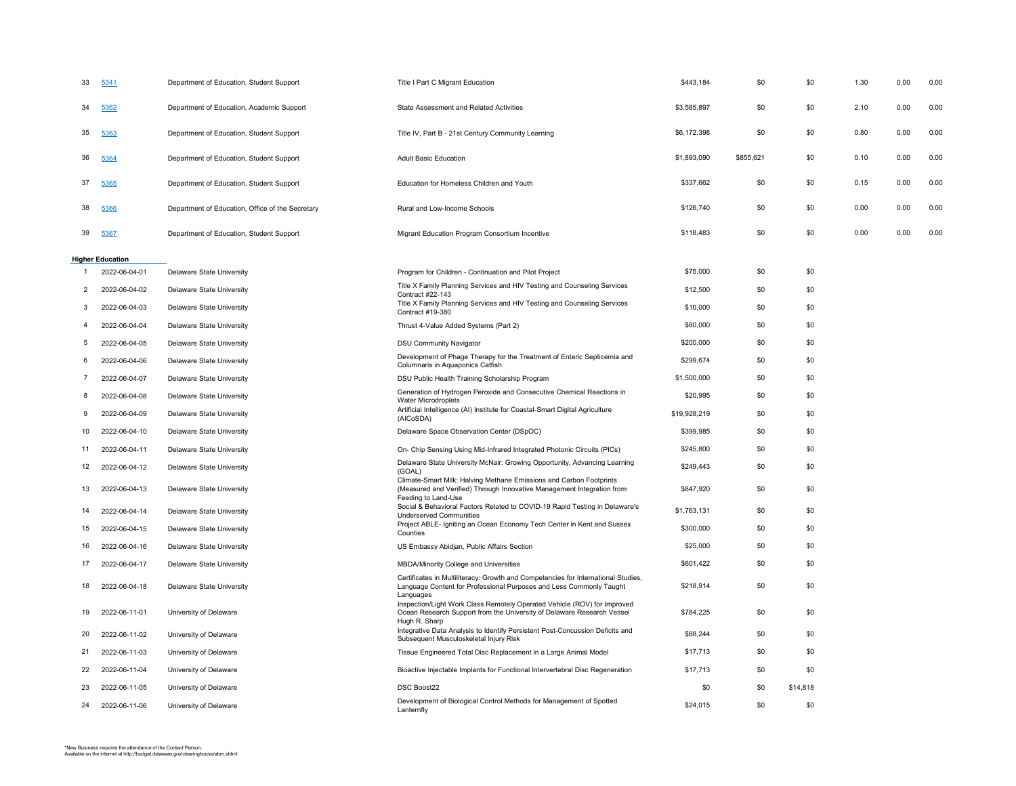| 33 | 5341             | Department of Education, Student Support         | Title I Part C Migrant Education                                                                                                                                      | \$443,184    | \$0       | \$0      | 1.30 | 0.00 | 0.00 |
|----|------------------|--------------------------------------------------|-----------------------------------------------------------------------------------------------------------------------------------------------------------------------|--------------|-----------|----------|------|------|------|
| 34 | 5362             | Department of Education, Academic Support        | State Assessment and Related Activities                                                                                                                               | \$3,585,897  | \$0       | \$0      | 2.10 | 0.00 | 0.00 |
| 35 | 5363             | Department of Education, Student Support         | Title IV, Part B - 21st Century Community Learning                                                                                                                    | \$6,172,398  | \$0       | \$0      | 0.80 | 0.00 | 0.00 |
| 36 | 5364             | Department of Education, Student Support         | <b>Adult Basic Education</b>                                                                                                                                          | \$1,893,090  | \$855,621 | \$0      | 0.10 | 0.00 | 0.00 |
| 37 | 5365             | Department of Education, Student Support         | Education for Homeless Children and Youth                                                                                                                             | \$337,662    | \$0       | \$0      | 0.15 | 0.00 | 0.00 |
| 38 | 5366             | Department of Education, Office of the Secretary | Rural and Low-Income Schools                                                                                                                                          | \$126,740    | \$0       | \$0      | 0.00 | 0.00 | 0.00 |
| 39 | 5367             | Department of Education, Student Support         | Migrant Education Program Consortium Incentive                                                                                                                        | \$118,483    | \$0       | \$0      | 0.00 | 0.00 | 0.00 |
|    | Higher Education |                                                  |                                                                                                                                                                       |              |           |          |      |      |      |
| 1  | 2022-06-04-01    | Delaware State University                        | Program for Children - Continuation and Pilot Project                                                                                                                 | \$75,000     | \$0       | \$0      |      |      |      |
| 2  | 2022-06-04-02    | Delaware State University                        | Title X Family Planning Services and HIV Testing and Counseling Services<br>Contract #22-143                                                                          | \$12,500     | \$0       | \$0      |      |      |      |
| 3  | 2022-06-04-03    | Delaware State University                        | Title X Family Planning Services and HIV Testing and Counseling Services<br>Contract #19-380                                                                          | \$10,000     | \$0       | \$0      |      |      |      |
| 4  | 2022-06-04-04    | Delaware State University                        | Thrust 4-Value Added Systems (Part 2)                                                                                                                                 | \$80,000     | \$0       | \$0      |      |      |      |
| 5  | 2022-06-04-05    | Delaware State University                        | <b>DSU Community Navigator</b>                                                                                                                                        | \$200,000    | \$0       | \$0      |      |      |      |
| 6  | 2022-06-04-06    | Delaware State University                        | Development of Phage Therapy for the Treatment of Enteric Septicemia and<br>Columnaris in Aquaponics Catfish                                                          | \$299,674    | \$0       | \$0      |      |      |      |
| 7  | 2022-06-04-07    | Delaware State University                        | DSU Public Health Training Scholarship Program                                                                                                                        | \$1,500,000  | \$0       | \$0      |      |      |      |
| 8  | 2022-06-04-08    | Delaware State University                        | Generation of Hydrogen Peroxide and Consecutive Chemical Reactions in<br><b>Water Microdroplets</b>                                                                   | \$20,995     | \$0       | \$0      |      |      |      |
| 9  | 2022-06-04-09    | Delaware State University                        | Artificial Intelligence (AI) Institute for Coastal-Smart Digital Agriculture<br>(AICoSDA)                                                                             | \$19,928,219 | \$0       | \$0      |      |      |      |
| 10 | 2022-06-04-10    | Delaware State University                        | Delaware Space Observation Center (DSpOC)                                                                                                                             | \$399,985    | \$0       | \$0      |      |      |      |
| 11 | 2022-06-04-11    | Delaware State University                        | On- Chip Sensing Using Mid-Infrared Integrated Photonic Circuits (PICs)                                                                                               | \$245,800    | \$0       | \$0      |      |      |      |
| 12 | 2022-06-04-12    | Delaware State University                        | Delaware State University McNair: Growing Opportunity, Advancing Learning<br>(GOAL)                                                                                   | \$249,443    | \$0       | \$0      |      |      |      |
| 13 | 2022-06-04-13    | Delaware State University                        | Climate-Smart Milk: Halving Methane Emissions and Carbon Footprints<br>(Measured and Verified) Through Innovative Management Integration from<br>Feeding to Land-Use  | \$847,920    | \$0       | \$0      |      |      |      |
| 14 | 2022-06-04-14    | Delaware State University                        | Social & Behavioral Factors Related to COVID-19 Rapid Testing in Delaware's<br><b>Underserved Communities</b>                                                         | \$1,763,131  | \$0       | \$0      |      |      |      |
| 15 | 2022-06-04-15    | Delaware State University                        | Project ABLE- Igniting an Ocean Economy Tech Center in Kent and Sussex<br>Counties                                                                                    | \$300,000    | \$0       | \$0      |      |      |      |
| 16 | 2022-06-04-16    | Delaware State University                        | US Embassy Abidjan, Public Affairs Section                                                                                                                            | \$25,000     | \$0       | \$0      |      |      |      |
| 17 | 2022-06-04-17    | Delaware State University                        | MBDA/Minority College and Universities                                                                                                                                | \$601,422    | \$0       | \$0      |      |      |      |
| 18 | 2022-06-04-18    | Delaware State University                        | Certificates in Multiliteracy: Growth and Competencies for International Studies,<br>Language Content for Professional Purposes and Less Commonly Taught<br>Languages | \$218,914    | \$0       | \$0      |      |      |      |
| 19 | 2022-06-11-01    | University of Delaware                           | Inspection/Light Work Class Remotely Operated Vehicle (ROV) for Improved<br>Ocean Research Support from the University of Delaware Research Vessel<br>Hugh R. Sharp   | \$784,225    | \$0       | \$0      |      |      |      |
| 20 | 2022-06-11-02    | University of Delaware                           | Integrative Data Analysis to Identify Persistent Post-Concussion Deficits and<br>Subsequent Musculoskeletal Injury Risk                                               | \$88,244     | \$0       | \$0      |      |      |      |
| 21 | 2022-06-11-03    | University of Delaware                           | Tissue Engineered Total Disc Replacement in a Large Animal Model                                                                                                      | \$17,713     | \$0       | \$0      |      |      |      |
| 22 | 2022-06-11-04    | University of Delaware                           | Bioactive Injectable Implants for Functional Intervertebral Disc Regeneration                                                                                         | \$17,713     | \$0       | \$0      |      |      |      |
| 23 | 2022-06-11-05    | University of Delaware                           | <b>DSC Boost22</b>                                                                                                                                                    | \$0          | \$0       | \$14,818 |      |      |      |
| 24 | 2022-06-11-06    | University of Delaware                           | Development of Biological Control Methods for Management of Spotted<br>Lanternfly                                                                                     | \$24,015     | \$0       | \$0      |      |      |      |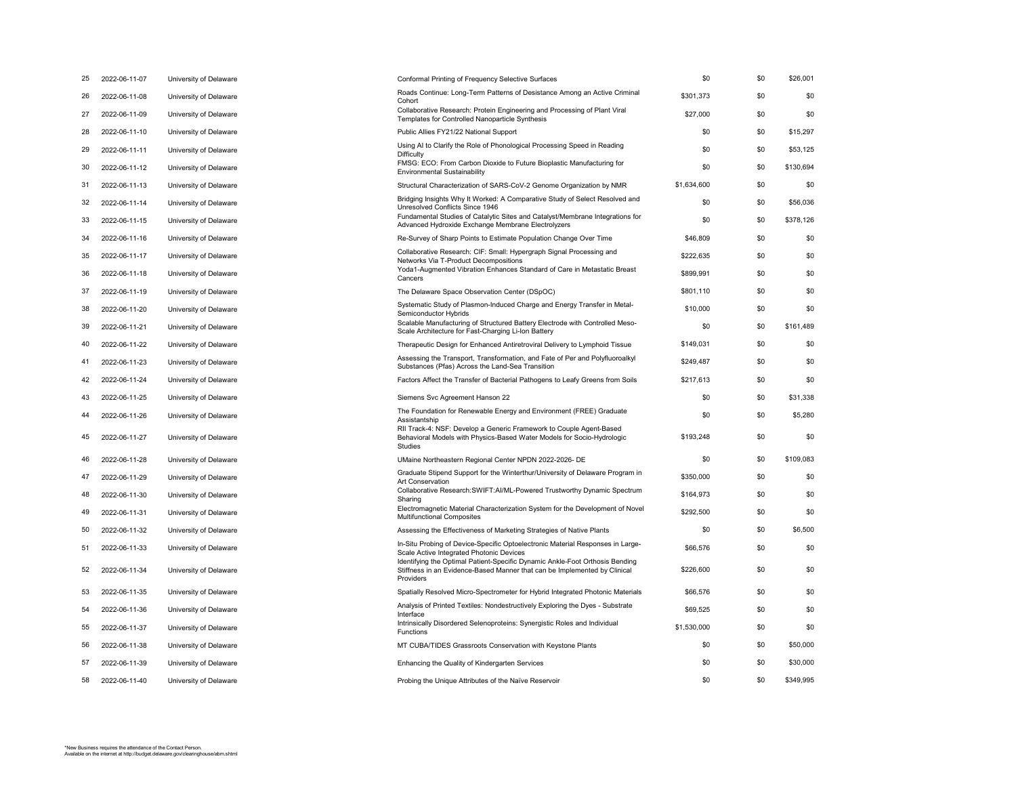| 25 | 2022-06-11-07 | University of Delaware | Conformal Printing of Frequency Selective Surfaces                                                                                                                     | \$0         | \$0 | \$26,001  |
|----|---------------|------------------------|------------------------------------------------------------------------------------------------------------------------------------------------------------------------|-------------|-----|-----------|
| 26 | 2022-06-11-08 | University of Delaware | Roads Continue: Long-Term Patterns of Desistance Among an Active Criminal<br>Cohort                                                                                    | \$301,373   | \$0 | \$0       |
| 27 | 2022-06-11-09 | University of Delaware | Collaborative Research: Protein Engineering and Processing of Plant Viral<br>Templates for Controlled Nanoparticle Synthesis                                           | \$27,000    | \$0 | \$0       |
| 28 | 2022-06-11-10 | University of Delaware | Public Allies FY21/22 National Support                                                                                                                                 | \$0         | \$0 | \$15,297  |
| 29 | 2022-06-11-11 | University of Delaware | Using AI to Clarify the Role of Phonological Processing Speed in Reading<br><b>Difficulty</b>                                                                          | \$0         | \$0 | \$53,125  |
| 30 | 2022-06-11-12 | University of Delaware | FMSG: ECO: From Carbon Dioxide to Future Bioplastic Manufacturing for<br><b>Environmental Sustainability</b>                                                           | \$0         | \$0 | \$130,694 |
| 31 | 2022-06-11-13 | University of Delaware | Structural Characterization of SARS-CoV-2 Genome Organization by NMR                                                                                                   | \$1,634,600 | \$0 | \$0       |
| 32 | 2022-06-11-14 | University of Delaware | Bridging Insights Why It Worked: A Comparative Study of Select Resolved and<br>Unresolved Conflicts Since 1946                                                         | \$0         | \$0 | \$56,036  |
| 33 | 2022-06-11-15 | University of Delaware | Fundamental Studies of Catalytic Sites and Catalyst/Membrane Integrations for<br>Advanced Hydroxide Exchange Membrane Electrolyzers                                    | \$0         | \$0 | \$378,126 |
| 34 | 2022-06-11-16 | University of Delaware | Re-Survey of Sharp Points to Estimate Population Change Over Time                                                                                                      | \$46,809    | \$0 | \$0       |
| 35 | 2022-06-11-17 | University of Delaware | Collaborative Research: CIF: Small: Hypergraph Signal Processing and<br>Networks Via T-Product Decompositions                                                          | \$222,635   | \$0 | \$0       |
| 36 | 2022-06-11-18 | University of Delaware | Yoda1-Augmented Vibration Enhances Standard of Care in Metastatic Breast<br>Cancers                                                                                    | \$899,991   | \$0 | \$0       |
| 37 | 2022-06-11-19 | University of Delaware | The Delaware Space Observation Center (DSpOC)                                                                                                                          | \$801,110   | \$0 | \$0       |
| 38 | 2022-06-11-20 | University of Delaware | Systematic Study of Plasmon-Induced Charge and Energy Transfer in Metal-<br>Semiconductor Hybrids                                                                      | \$10,000    | \$0 | \$0       |
| 39 | 2022-06-11-21 | University of Delaware | Scalable Manufacturing of Structured Battery Electrode with Controlled Meso-<br>Scale Architecture for Fast-Charging Li-Ion Battery                                    | \$0         | \$0 | \$161,489 |
| 40 | 2022-06-11-22 | University of Delaware | Therapeutic Design for Enhanced Antiretroviral Delivery to Lymphoid Tissue                                                                                             | \$149,031   | \$0 | \$0       |
| 41 | 2022-06-11-23 | University of Delaware | Assessing the Transport, Transformation, and Fate of Per and Polyfluoroalkyl<br>Substances (Pfas) Across the Land-Sea Transition                                       | \$249,487   | \$0 | \$0       |
| 42 | 2022-06-11-24 | University of Delaware | Factors Affect the Transfer of Bacterial Pathogens to Leafy Greens from Soils                                                                                          | \$217,613   | \$0 | \$0       |
| 43 | 2022-06-11-25 | University of Delaware | Siemens Svc Agreement Hanson 22                                                                                                                                        | \$0         | \$0 | \$31,338  |
| 44 | 2022-06-11-26 | University of Delaware | The Foundation for Renewable Energy and Environment (FREE) Graduate<br>Assistantship                                                                                   | \$0         | \$0 | \$5,280   |
| 45 | 2022-06-11-27 | University of Delaware | RII Track-4: NSF: Develop a Generic Framework to Couple Agent-Based<br>Behavioral Models with Physics-Based Water Models for Socio-Hydrologic<br>Studies               | \$193,248   | \$0 | \$0       |
| 46 | 2022-06-11-28 | University of Delaware | UMaine Northeastern Regional Center NPDN 2022-2026- DE                                                                                                                 | \$0         | \$0 | \$109,083 |
| 47 | 2022-06-11-29 | University of Delaware | Graduate Stipend Support for the Winterthur/University of Delaware Program in<br>Art Conservation                                                                      | \$350,000   | \$0 | \$0       |
| 48 | 2022-06-11-30 | University of Delaware | Collaborative Research: SWIFT: AI/ML-Powered Trustworthy Dynamic Spectrum<br>Sharing                                                                                   | \$164,973   | \$0 | \$0       |
| 49 | 2022-06-11-31 | University of Delaware | Electromagnetic Material Characterization System for the Development of Novel<br><b>Multifunctional Composites</b>                                                     | \$292,500   | \$0 | \$0       |
| 50 | 2022-06-11-32 | University of Delaware | Assessing the Effectiveness of Marketing Strategies of Native Plants                                                                                                   | \$0         | \$0 | \$6,500   |
| 51 | 2022-06-11-33 | University of Delaware | In-Situ Probing of Device-Specific Optoelectronic Material Responses in Large-<br>Scale Active Integrated Photonic Devices                                             | \$66,576    | \$0 | \$0       |
| 52 | 2022-06-11-34 | University of Delaware | Identifying the Optimal Patient-Specific Dynamic Ankle-Foot Orthosis Bending<br>Stiffness in an Evidence-Based Manner that can be Implemented by Clinical<br>Providers | \$226,600   | \$0 | \$0       |
| 53 | 2022-06-11-35 | University of Delaware | Spatially Resolved Micro-Spectrometer for Hybrid Integrated Photonic Materials                                                                                         | \$66,576    | \$0 | \$0       |
| 54 | 2022-06-11-36 | University of Delaware | Analysis of Printed Textiles: Nondestructively Exploring the Dyes - Substrate<br>Interface                                                                             | \$69,525    | \$0 | \$0       |
| 55 | 2022-06-11-37 | University of Delaware | Intrinsically Disordered Selenoproteins: Synergistic Roles and Individual<br>Functions                                                                                 | \$1,530,000 | \$0 | \$0       |
| 56 | 2022-06-11-38 | University of Delaware | MT CUBA/TIDES Grassroots Conservation with Keystone Plants                                                                                                             | \$0         | \$0 | \$50,000  |
| 57 | 2022-06-11-39 | University of Delaware | Enhancing the Quality of Kindergarten Services                                                                                                                         | \$0         | \$0 | \$30,000  |
| 58 | 2022-06-11-40 | University of Delaware | Probing the Unique Attributes of the Naïve Reservoir                                                                                                                   | \$0         | \$0 | \$349,995 |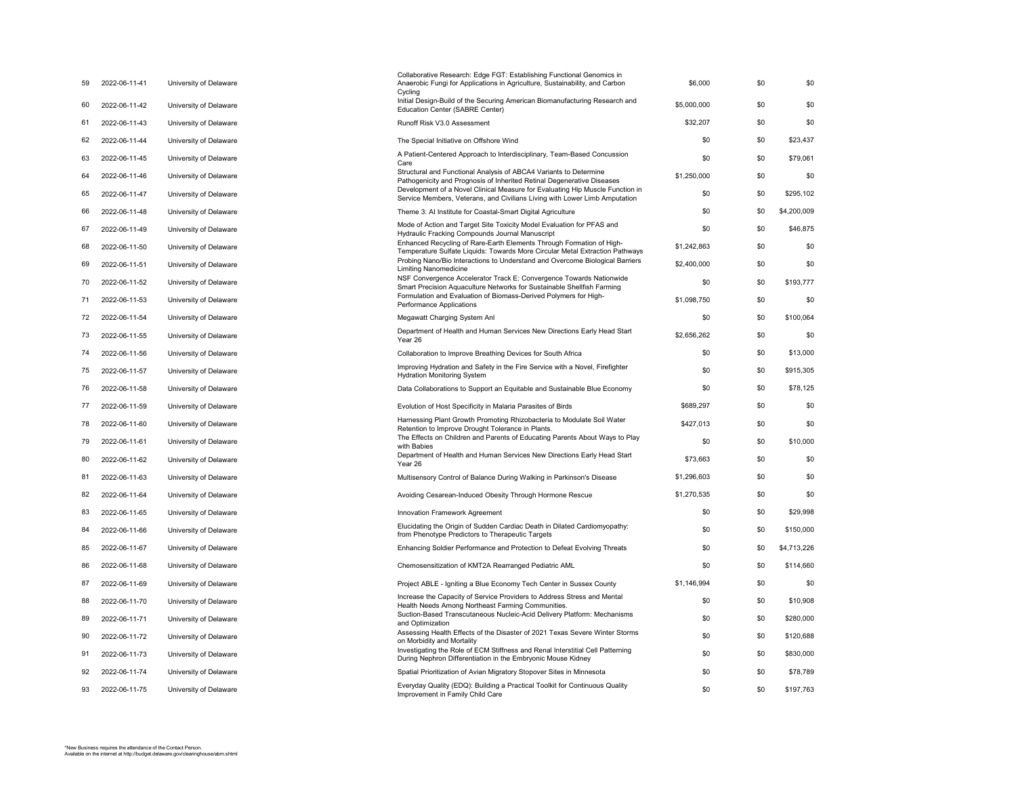| 59 | 2022-06-11-41 | University of Delaware | Cycling     | Collaborative Research: Edge FGT: Establishing Functional Genomics in<br>Anaerobic Fungi for Applications in Agriculture, Sustainability, and Carbon        | \$6,000     | \$0 | \$0         |
|----|---------------|------------------------|-------------|-------------------------------------------------------------------------------------------------------------------------------------------------------------|-------------|-----|-------------|
| 60 | 2022-06-11-42 | University of Delaware |             | Initial Design-Build of the Securing American Biomanufacturing Research and<br>Education Center (SABRE Center)                                              | \$5,000,000 | \$0 | \$0         |
| 61 | 2022-06-11-43 | University of Delaware |             | Runoff Risk V3.0 Assessment                                                                                                                                 | \$32,207    | \$0 | \$0         |
| 62 | 2022-06-11-44 | University of Delaware |             | The Special Initiative on Offshore Wind                                                                                                                     | \$0         | \$0 | \$23,437    |
| 63 | 2022-06-11-45 | University of Delaware | Care        | A Patient-Centered Approach to Interdisciplinary, Team-Based Concussion                                                                                     | \$0         | \$0 | \$79,061    |
| 64 | 2022-06-11-46 | University of Delaware |             | Structural and Functional Analysis of ABCA4 Variants to Determine<br>Pathogenicity and Prognosis of Inherited Retinal Degenerative Diseases                 | \$1,250,000 | \$0 | \$0         |
| 65 | 2022-06-11-47 | University of Delaware |             | Development of a Novel Clinical Measure for Evaluating Hip Muscle Function in<br>Service Members, Veterans, and Civilians Living with Lower Limb Amputation | \$0         | \$0 | \$295,102   |
| 66 | 2022-06-11-48 | University of Delaware |             | Theme 3: AI Institute for Coastal-Smart Digital Agriculture                                                                                                 | \$0         | \$0 | \$4,200,009 |
| 67 | 2022-06-11-49 | University of Delaware |             | Mode of Action and Target Site Toxicity Model Evaluation for PFAS and<br>Hydraulic Fracking Compounds Journal Manuscript                                    | \$0         | \$0 | \$46,875    |
| 68 | 2022-06-11-50 | University of Delaware |             | Enhanced Recycling of Rare-Earth Elements Through Formation of High-<br>Temperature Sulfate Liquids: Towards More Circular Metal Extraction Pathways        | \$1,242,863 | \$0 | \$0         |
| 69 | 2022-06-11-51 | University of Delaware |             | Probing Nano/Bio Interactions to Understand and Overcome Biological Barriers<br><b>Limiting Nanomedicine</b>                                                | \$2,400,000 | \$0 | \$0         |
| 70 | 2022-06-11-52 | University of Delaware |             | NSF Convergence Accelerator Track E: Convergence Towards Nationwide<br>Smart Precision Aquaculture Networks for Sustainable Shellfish Farming               | \$0         | \$0 | \$193,777   |
| 71 | 2022-06-11-53 | University of Delaware |             | Formulation and Evaluation of Biomass-Derived Polymers for High-<br>Performance Applications                                                                | \$1,098,750 | \$0 | \$0         |
| 72 | 2022-06-11-54 | University of Delaware |             | Megawatt Charging System Anl                                                                                                                                | \$0         | \$0 | \$100,064   |
| 73 | 2022-06-11-55 | University of Delaware | Year 26     | Department of Health and Human Services New Directions Early Head Start                                                                                     | \$2,656,262 | \$0 | \$0         |
| 74 | 2022-06-11-56 | University of Delaware |             | Collaboration to Improve Breathing Devices for South Africa                                                                                                 | \$0         | \$0 | \$13,000    |
| 75 | 2022-06-11-57 | University of Delaware |             | Improving Hydration and Safety in the Fire Service with a Novel, Firefighter<br>Hydration Monitoring System                                                 | \$0         | \$0 | \$915,305   |
| 76 | 2022-06-11-58 | University of Delaware |             | Data Collaborations to Support an Equitable and Sustainable Blue Economy                                                                                    | \$0         | \$0 | \$78,125    |
| 77 | 2022-06-11-59 | University of Delaware |             | Evolution of Host Specificity in Malaria Parasites of Birds                                                                                                 | \$689,297   | \$0 | \$0         |
| 78 | 2022-06-11-60 | University of Delaware |             | Harnessing Plant Growth Promoting Rhizobacteria to Modulate Soil Water<br>Retention to Improve Drought Tolerance in Plants.                                 | \$427,013   | \$0 | \$0         |
| 79 | 2022-06-11-61 | University of Delaware | with Babies | The Effects on Children and Parents of Educating Parents About Ways to Play                                                                                 | \$0         | \$0 | \$10,000    |
| 80 | 2022-06-11-62 | University of Delaware | Year 26     | Department of Health and Human Services New Directions Early Head Start                                                                                     | \$73,663    | \$0 | \$0         |
| 81 | 2022-06-11-63 | University of Delaware |             | Multisensory Control of Balance During Walking in Parkinson's Disease                                                                                       | \$1,296,603 | \$0 | \$0         |
| 82 | 2022-06-11-64 | University of Delaware |             | Avoiding Cesarean-Induced Obesity Through Hormone Rescue                                                                                                    | \$1,270,535 | \$0 | \$0         |
| 83 | 2022-06-11-65 | University of Delaware |             | Innovation Framework Agreement                                                                                                                              | \$0         | \$0 | \$29,998    |
| 84 | 2022-06-11-66 | University of Delaware |             | Elucidating the Origin of Sudden Cardiac Death in Dilated Cardiomyopathy:<br>from Phenotype Predictors to Therapeutic Targets                               | \$0         | \$0 | \$150,000   |
| 85 | 2022-06-11-67 | University of Delaware |             | Enhancing Soldier Performance and Protection to Defeat Evolving Threats                                                                                     | \$0         | \$0 | \$4,713,226 |
| 86 | 2022-06-11-68 | University of Delaware |             | Chemosensitization of KMT2A Rearranged Pediatric AML                                                                                                        | \$0         | \$0 | \$114,660   |
| 87 | 2022-06-11-69 | University of Delaware |             | Project ABLE - Igniting a Blue Economy Tech Center in Sussex County                                                                                         | \$1,146,994 | \$0 | \$0         |
| 88 | 2022-06-11-70 | University of Delaware |             | Increase the Capacity of Service Providers to Address Stress and Mental<br>Health Needs Among Northeast Farming Communities.                                | \$0         | \$0 | \$10,908    |
| 89 | 2022-06-11-71 | University of Delaware |             | Suction-Based Transcutaneous Nucleic-Acid Delivery Platform: Mechanisms<br>and Optimization                                                                 | \$0         | \$0 | \$280,000   |
| 90 | 2022-06-11-72 | University of Delaware |             | Assessing Health Effects of the Disaster of 2021 Texas Severe Winter Storms<br>on Morbidity and Mortality                                                   | \$0         | \$0 | \$120,688   |
| 91 | 2022-06-11-73 | University of Delaware |             | Investigating the Role of ECM Stiffness and Renal Interstitial Cell Patterning<br>During Nephron Differentiation in the Embryonic Mouse Kidney              | \$0         | \$0 | \$830,000   |
| 92 | 2022-06-11-74 | University of Delaware |             | Spatial Prioritization of Avian Migratory Stopover Sites in Minnesota                                                                                       | \$0         | \$0 | \$78,789    |
| 93 | 2022-06-11-75 | University of Delaware |             | Everyday Quality (EDQ): Building a Practical Toolkit for Continuous Quality<br>Improvement in Family Child Care                                             | \$0         | \$0 | \$197,763   |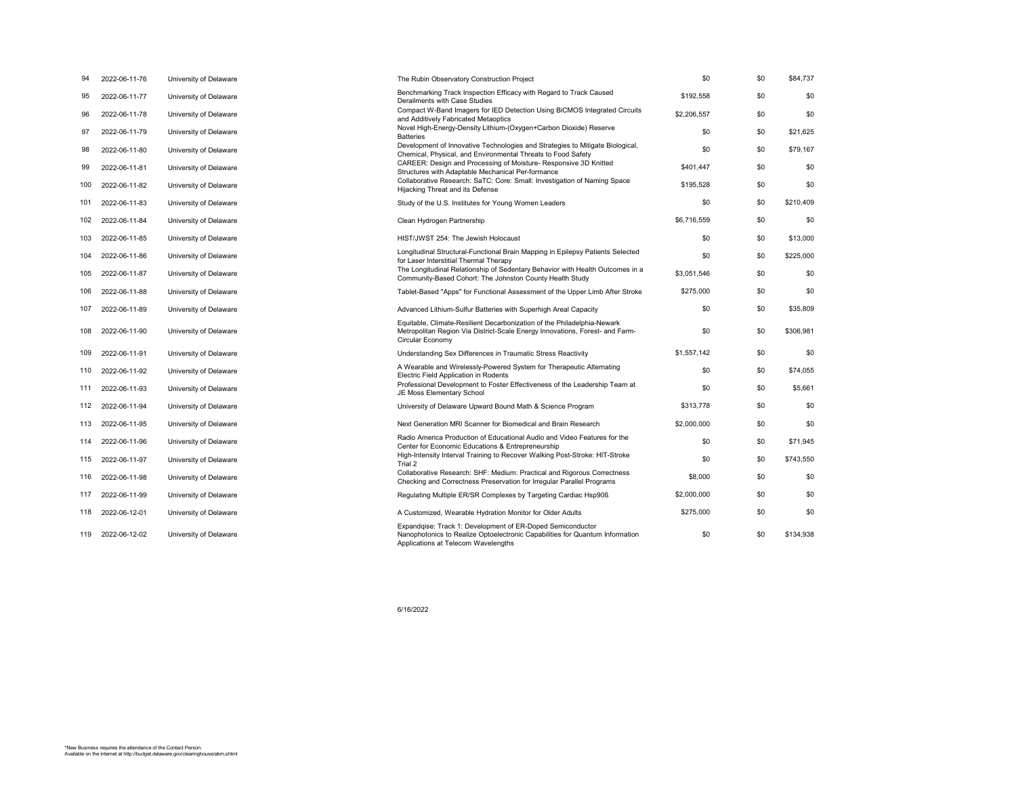| 94  | 2022-06-11-76 | University of Delaware | The Rubin Observatory Construction Project                                                                                                                                        | \$0         | \$0 | \$84,737  |
|-----|---------------|------------------------|-----------------------------------------------------------------------------------------------------------------------------------------------------------------------------------|-------------|-----|-----------|
| 95  | 2022-06-11-77 | University of Delaware | Benchmarking Track Inspection Efficacy with Regard to Track Caused<br>Derailments with Case Studies                                                                               | \$192,558   | \$0 | \$0       |
| 96  | 2022-06-11-78 | University of Delaware | Compact W-Band Imagers for IED Detection Using BiCMOS Integrated Circuits<br>and Additively Fabricated Metaoptics                                                                 | \$2,206,557 | \$0 | \$0       |
| 97  | 2022-06-11-79 | University of Delaware | Novel High-Energy-Density Lithium-(Oxygen+Carbon Dioxide) Reserve<br><b>Batteries</b>                                                                                             | \$0         | \$0 | \$21,625  |
| 98  | 2022-06-11-80 | University of Delaware | Development of Innovative Technologies and Strategies to Mitigate Biological,<br>Chemical, Physical, and Environmental Threats to Food Safety                                     | \$0         | \$0 | \$79,167  |
| 99  | 2022-06-11-81 | University of Delaware | CAREER: Design and Processing of Moisture- Responsive 3D Knitted<br>Structures with Adaptable Mechanical Per-formance                                                             | \$401,447   | \$0 | \$0       |
| 100 | 2022-06-11-82 | University of Delaware | Collaborative Research: SaTC: Core: Small: Investigation of Naming Space<br>Hijacking Threat and its Defense                                                                      | \$195,528   | \$0 | \$0       |
| 101 | 2022-06-11-83 | University of Delaware | Study of the U.S. Institutes for Young Women Leaders                                                                                                                              | \$0         | \$0 | \$210,409 |
| 102 | 2022-06-11-84 | University of Delaware | Clean Hydrogen Partnership                                                                                                                                                        | \$6,716,559 | \$0 | \$0       |
| 103 | 2022-06-11-85 | University of Delaware | HIST/JWST 254: The Jewish Holocaust                                                                                                                                               | \$0         | \$0 | \$13,000  |
| 104 | 2022-06-11-86 | University of Delaware | Longitudinal Structural-Functional Brain Mapping in Epilepsy Patients Selected<br>for Laser Interstitial Thermal Therapy                                                          | \$0         | \$0 | \$225,000 |
| 105 | 2022-06-11-87 | University of Delaware | The Longitudinal Relationship of Sedentary Behavior with Health Outcomes in a<br>Community-Based Cohort: The Johnston County Health Study                                         | \$3,051,546 | \$0 | \$0       |
| 106 | 2022-06-11-88 | University of Delaware | Tablet-Based "Apps" for Functional Assessment of the Upper Limb After Stroke                                                                                                      | \$275,000   | \$0 | \$0       |
| 107 | 2022-06-11-89 | University of Delaware | Advanced Lithium-Sulfur Batteries with Superhigh Areal Capacity                                                                                                                   | \$0         | \$0 | \$35,809  |
| 108 | 2022-06-11-90 | University of Delaware | Equitable, Climate-Resilient Decarbonization of the Philadelphia-Newark<br>Metropolitan Region Via District-Scale Energy Innovations, Forest- and Farm-<br>Circular Economy       | \$0         | \$0 | \$306,981 |
| 109 | 2022-06-11-91 | University of Delaware | Understanding Sex Differences in Traumatic Stress Reactivity                                                                                                                      | \$1,557,142 | \$0 | \$0       |
| 110 | 2022-06-11-92 | University of Delaware | A Wearable and Wirelessly-Powered System for Therapeutic Alternating<br>Electric Field Application in Rodents                                                                     | \$0         | \$0 | \$74,055  |
| 111 | 2022-06-11-93 | University of Delaware | Professional Development to Foster Effectiveness of the Leadership Team at<br>JE Moss Elementary School                                                                           | \$0         | \$0 | \$5,661   |
| 112 | 2022-06-11-94 | University of Delaware | University of Delaware Upward Bound Math & Science Program                                                                                                                        | \$313,778   | \$0 | \$0       |
| 113 | 2022-06-11-95 | University of Delaware | Next Generation MRI Scanner for Biomedical and Brain Research                                                                                                                     | \$2,000,000 | \$0 | \$0       |
| 114 | 2022-06-11-96 | University of Delaware | Radio America Production of Educational Audio and Video Features for the<br>Center for Economic Educations & Entrepreneurship                                                     | \$0         | \$0 | \$71,945  |
| 115 | 2022-06-11-97 | University of Delaware | High-Intensity Interval Training to Recover Walking Post-Stroke: HIT-Stroke<br>Trial 2                                                                                            | \$0         | \$0 | \$743,550 |
| 116 | 2022-06-11-98 | University of Delaware | Collaborative Research: SHF: Medium: Practical and Rigorous Correctness<br>Checking and Correctness Preservation for Irregular Parallel Programs                                  | \$8,000     | \$0 | \$0       |
| 117 | 2022-06-11-99 | University of Delaware | Regulating Multiple ER/SR Complexes by Targeting Cardiac Hsp90ß                                                                                                                   | \$2,000,000 | \$0 | \$0       |
| 118 | 2022-06-12-01 | University of Delaware | A Customized, Wearable Hydration Monitor for Older Adults                                                                                                                         | \$275,000   | \$0 | \$0       |
| 119 | 2022-06-12-02 | University of Delaware | Expandgise: Track 1: Development of ER-Doped Semiconductor<br>Nanophotonics to Realize Optoelectronic Capabilities for Quantum Information<br>Applications at Telecom Wavelengths | \$0         | \$0 | \$134,938 |

6/16/2022